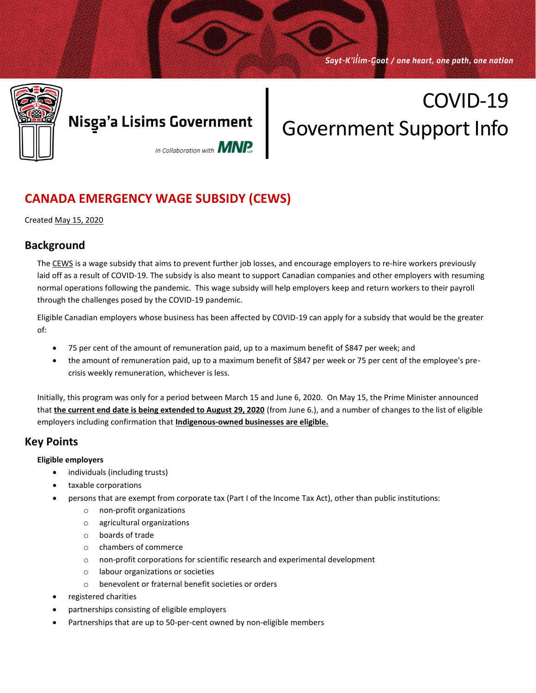Sayt-K'ilim-Goot / one heart, one path, one nation



# COVID-19 Government Support Info

### **CANADA EMERGENCY WAGE SUBSIDY (CEWS)**

Created May 15, 2020

### **Background**

The [CEWS](https://www.canada.ca/en/department-finance/news/2020/04/additional-details-on-the-canada-emergency-wage-subsidy0.html) is a wage subsidy that aims to prevent further job losses, and encourage employers to re-hire workers previously laid off as a result of COVID-19. The subsidy is also meant to support Canadian companies and other employers with resuming normal operations following the pandemic. This wage subsidy will help employers keep and return workers to their payroll through the challenges posed by the COVID-19 pandemic.

Eligible Canadian employers whose business has been affected by COVID-19 can apply for a subsidy that would be the greater of:

- 75 per cent of the amount of remuneration paid, up to a maximum benefit of \$847 per week; and
- the amount of remuneration paid, up to a maximum benefit of \$847 per week or 75 per cent of the employee's precrisis weekly remuneration, whichever is less.

Initially, this program was only for a period between March 15 and June 6, 2020. On May 15, the Prime Minister announced that **the current end date is being extended to August 29, 2020** (from June 6.), and a number of changes to the list of eligible employers including confirmation that **Indigenous-owned businesses are eligible.**

### **Key Points**

#### **Eligible employers**

- individuals (including trusts)
- taxable corporations
- persons that are exempt from corporate tax (Part I of the Income Tax Act), other than public institutions:
	- o non-profit organizations
	- o agricultural organizations
	- o boards of trade
	- o chambers of commerce
	- o non-profit corporations for scientific research and experimental development
	- o labour organizations or societies
	- o benevolent or fraternal benefit societies or orders
- registered charities
- partnerships consisting of eligible employers
- Partnerships that are up to 50-per-cent owned by non-eligible members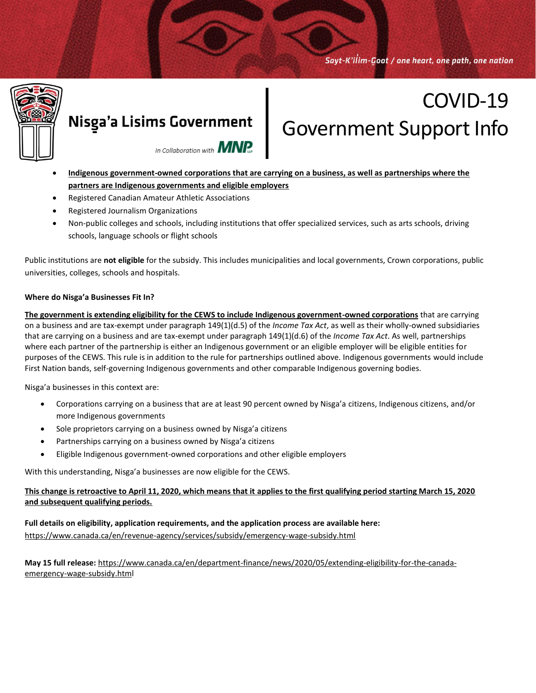Sayt-K'ilim-Goot / one heart, one path, one nation



### Nisga'a Lisims Government

# COVID-19 Government Support Info



- **Indigenous government-owned corporations that are carrying on a business, as well as partnerships where the partners are Indigenous governments and eligible employers**
- Registered Canadian Amateur Athletic Associations
- Registered Journalism Organizations
- Non-public colleges and schools, including institutions that offer specialized services, such as arts schools, driving schools, language schools or flight schools

Public institutions are **not eligible** for the subsidy. This includes municipalities and local governments, Crown corporations, public universities, colleges, schools and hospitals.

#### **Where do Nisga'a Businesses Fit In?**

**The government is extending eligibility for the CEWS to include Indigenous government-owned corporations** that are carrying on a business and are tax-exempt under paragraph 149(1)(d.5) of the *Income Tax Act*, as well as their wholly-owned subsidiaries that are carrying on a business and are tax-exempt under paragraph 149(1)(d.6) of the *Income Tax Act*. As well, partnerships where each partner of the partnership is either an Indigenous government or an eligible employer will be eligible entities for purposes of the CEWS. This rule is in addition to the rule for partnerships outlined above. Indigenous governments would include First Nation bands, self-governing Indigenous governments and other comparable Indigenous governing bodies.

Nisga'a businesses in this context are:

- Corporations carrying on a business that are at least 90 percent owned by Nisga'a citizens, Indigenous citizens, and/or more Indigenous governments
- Sole proprietors carrying on a business owned by Nisga'a citizens
- Partnerships carrying on a business owned by Nisga'a citizens
- Eligible Indigenous government-owned corporations and other eligible employers

With this understanding, Nisga'a businesses are now eligible for the CEWS.

#### **This change is retroactive to April 11, 2020, which means that it applies to the first qualifying period starting March 15, 2020 and subsequent qualifying periods.**

**Full details on eligibility, application requirements, and the application process are available here:**  <https://www.canada.ca/en/revenue-agency/services/subsidy/emergency-wage-subsidy.html>

**May 15 full release:** [https://www.canada.ca/en/department-finance/news/2020/05/extending-eligibility-for-the-canada](https://www.canada.ca/en/department-finance/news/2020/05/extending-eligibility-for-the-canada-emergency-wage-subsidy.html)[emergency-wage-subsidy.html](https://www.canada.ca/en/department-finance/news/2020/05/extending-eligibility-for-the-canada-emergency-wage-subsidy.html)